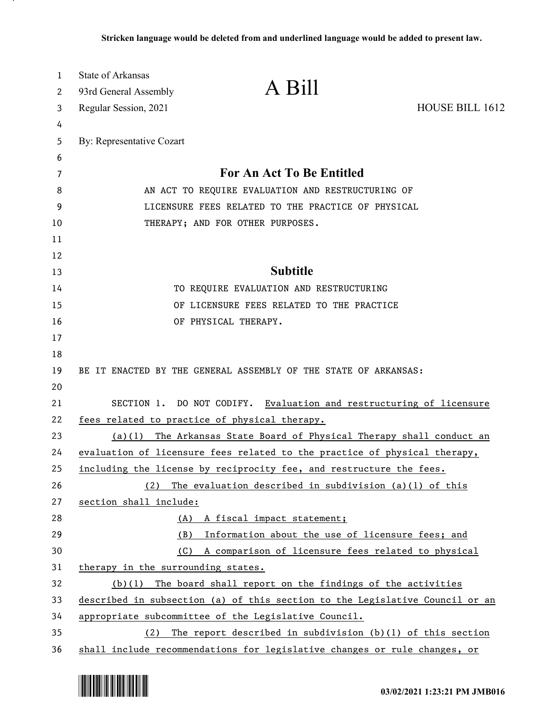| 1<br>2 | State of Arkansas<br>93rd General Assembly                                | A Bill                                                                       |                        |
|--------|---------------------------------------------------------------------------|------------------------------------------------------------------------------|------------------------|
| 3      | Regular Session, 2021                                                     |                                                                              | <b>HOUSE BILL 1612</b> |
| 4      |                                                                           |                                                                              |                        |
| 5      | By: Representative Cozart                                                 |                                                                              |                        |
| 6      |                                                                           |                                                                              |                        |
| 7      |                                                                           | <b>For An Act To Be Entitled</b>                                             |                        |
| 8      | AN ACT TO REQUIRE EVALUATION AND RESTRUCTURING OF                         |                                                                              |                        |
| 9      | LICENSURE FEES RELATED TO THE PRACTICE OF PHYSICAL                        |                                                                              |                        |
| 10     |                                                                           | THERAPY; AND FOR OTHER PURPOSES.                                             |                        |
| 11     |                                                                           |                                                                              |                        |
| 12     |                                                                           |                                                                              |                        |
| 13     |                                                                           | <b>Subtitle</b>                                                              |                        |
| 14     |                                                                           | TO REQUIRE EVALUATION AND RESTRUCTURING                                      |                        |
| 15     |                                                                           | OF LICENSURE FEES RELATED TO THE PRACTICE                                    |                        |
| 16     |                                                                           | OF PHYSICAL THERAPY.                                                         |                        |
| 17     |                                                                           |                                                                              |                        |
| 18     |                                                                           |                                                                              |                        |
| 19     |                                                                           | BE IT ENACTED BY THE GENERAL ASSEMBLY OF THE STATE OF ARKANSAS:              |                        |
| 20     |                                                                           |                                                                              |                        |
| 21     |                                                                           | SECTION 1. DO NOT CODIFY. Evaluation and restructuring of licensure          |                        |
| 22     | fees related to practice of physical therapy.                             |                                                                              |                        |
| 23     | The Arkansas State Board of Physical Therapy shall conduct an<br>(a)(1)   |                                                                              |                        |
| 24     | evaluation of licensure fees related to the practice of physical therapy, |                                                                              |                        |
| 25     |                                                                           | including the license by reciprocity fee, and restructure the fees.          |                        |
| 26     | (2)                                                                       | The evaluation described in subdivision (a)(1) of this                       |                        |
| 27     | section shall include:                                                    |                                                                              |                        |
| 28     |                                                                           | (A) A fiscal impact statement;                                               |                        |
| 29     | (B)                                                                       | Information about the use of licensure fees; and                             |                        |
| 30     | (C)                                                                       | A comparison of licensure fees related to physical                           |                        |
| 31     | therapy in the surrounding states.                                        |                                                                              |                        |
| 32     |                                                                           | $(b)(1)$ The board shall report on the findings of the activities            |                        |
| 33     |                                                                           | described in subsection (a) of this section to the Legislative Council or an |                        |
| 34     | appropriate subcommittee of the Legislative Council.                      |                                                                              |                        |
| 35     | (2)                                                                       | The report described in subdivision $(b)(1)$ of this section                 |                        |
| 36     |                                                                           | shall include recommendations for legislative changes or rule changes, or    |                        |